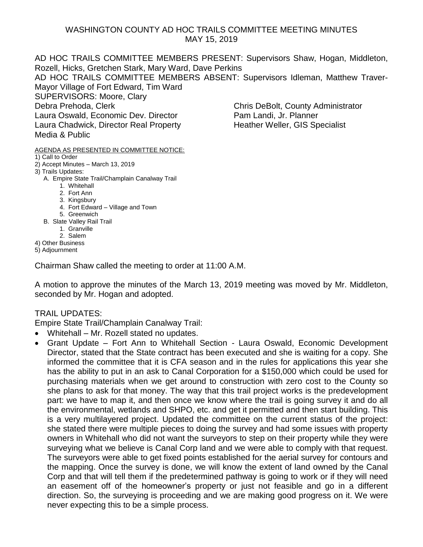## WASHINGTON COUNTY AD HOC TRAILS COMMITTEE MEETING MINUTES MAY 15, 2019

AD HOC TRAILS COMMITTEE MEMBERS PRESENT: Supervisors Shaw, Hogan, Middleton, Rozell, Hicks, Gretchen Stark, Mary Ward, Dave Perkins

AD HOC TRAILS COMMITTEE MEMBERS ABSENT: Supervisors Idleman, Matthew Traver-Mayor Village of Fort Edward, Tim Ward

SUPERVISORS: Moore, Clary

Laura Oswald, Economic Dev. Director **Pam Landi, Jr. Planner** Laura Chadwick, Director Real Property Heather Weller, GIS Specialist Media & Public

## AGENDA AS PRESENTED IN COMMITTEE NOTICE:

- 1) Call to Order
- 2) Accept Minutes March 13, 2019
- 3) Trails Updates:

## A. Empire State Trail/Champlain Canalway Trail

- 1. Whitehall
- 2. Fort Ann
- 3. Kingsbury
- 4. Fort Edward Village and Town
- 5. Greenwich
- B. Slate Valley Rail Trail
	- 1. Granville
	- 2. Salem
- 4) Other Business
- 5) Adjournment

Chairman Shaw called the meeting to order at 11:00 A.M.

A motion to approve the minutes of the March 13, 2019 meeting was moved by Mr. Middleton, seconded by Mr. Hogan and adopted.

## TRAIL UPDATES:

Empire State Trail/Champlain Canalway Trail:

- Whitehall Mr. Rozell stated no updates.
- Grant Update Fort Ann to Whitehall Section Laura Oswald, Economic Development Director, stated that the State contract has been executed and she is waiting for a copy. She informed the committee that it is CFA season and in the rules for applications this year she has the ability to put in an ask to Canal Corporation for a \$150,000 which could be used for purchasing materials when we get around to construction with zero cost to the County so she plans to ask for that money. The way that this trail project works is the predevelopment part: we have to map it, and then once we know where the trail is going survey it and do all the environmental, wetlands and SHPO, etc. and get it permitted and then start building. This is a very multilayered project. Updated the committee on the current status of the project: she stated there were multiple pieces to doing the survey and had some issues with property owners in Whitehall who did not want the surveyors to step on their property while they were surveying what we believe is Canal Corp land and we were able to comply with that request. The surveyors were able to get fixed points established for the aerial survey for contours and the mapping. Once the survey is done, we will know the extent of land owned by the Canal Corp and that will tell them if the predetermined pathway is going to work or if they will need an easement off of the homeowner's property or just not feasible and go in a different direction. So, the surveying is proceeding and we are making good progress on it. We were never expecting this to be a simple process.

Debra Prehoda, Clerk Chris DeBolt, County Administrator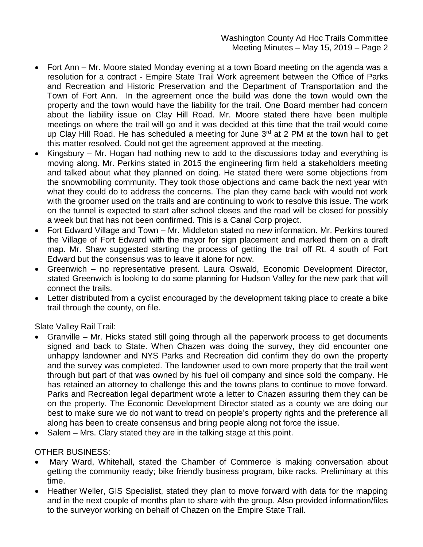Washington County Ad Hoc Trails Committee Meeting Minutes – May 15, 2019 – Page 2

- Fort Ann Mr. Moore stated Monday evening at a town Board meeting on the agenda was a resolution for a contract - Empire State Trail Work agreement between the Office of Parks and Recreation and Historic Preservation and the Department of Transportation and the Town of Fort Ann. In the agreement once the build was done the town would own the property and the town would have the liability for the trail. One Board member had concern about the liability issue on Clay Hill Road. Mr. Moore stated there have been multiple meetings on where the trail will go and it was decided at this time that the trail would come up Clay Hill Road. He has scheduled a meeting for June  $3<sup>rd</sup>$  at 2 PM at the town hall to get this matter resolved. Could not get the agreement approved at the meeting.
- Kingsbury Mr. Hogan had nothing new to add to the discussions today and everything is moving along. Mr. Perkins stated in 2015 the engineering firm held a stakeholders meeting and talked about what they planned on doing. He stated there were some objections from the snowmobiling community. They took those objections and came back the next year with what they could do to address the concerns. The plan they came back with would not work with the groomer used on the trails and are continuing to work to resolve this issue. The work on the tunnel is expected to start after school closes and the road will be closed for possibly a week but that has not been confirmed. This is a Canal Corp project.
- Fort Edward Village and Town Mr. Middleton stated no new information. Mr. Perkins toured the Village of Fort Edward with the mayor for sign placement and marked them on a draft map. Mr. Shaw suggested starting the process of getting the trail off Rt. 4 south of Fort Edward but the consensus was to leave it alone for now.
- Greenwich no representative present. Laura Oswald, Economic Development Director, stated Greenwich is looking to do some planning for Hudson Valley for the new park that will connect the trails.
- Letter distributed from a cyclist encouraged by the development taking place to create a bike trail through the county, on file.

Slate Valley Rail Trail:

- Granville Mr. Hicks stated still going through all the paperwork process to get documents signed and back to State. When Chazen was doing the survey, they did encounter one unhappy landowner and NYS Parks and Recreation did confirm they do own the property and the survey was completed. The landowner used to own more property that the trail went through but part of that was owned by his fuel oil company and since sold the company. He has retained an attorney to challenge this and the towns plans to continue to move forward. Parks and Recreation legal department wrote a letter to Chazen assuring them they can be on the property. The Economic Development Director stated as a county we are doing our best to make sure we do not want to tread on people's property rights and the preference all along has been to create consensus and bring people along not force the issue.
- Salem Mrs. Clary stated they are in the talking stage at this point.

OTHER BUSINESS:

- Mary Ward, Whitehall, stated the Chamber of Commerce is making conversation about getting the community ready; bike friendly business program, bike racks. Preliminary at this time.
- Heather Weller, GIS Specialist, stated they plan to move forward with data for the mapping and in the next couple of months plan to share with the group. Also provided information/files to the surveyor working on behalf of Chazen on the Empire State Trail.